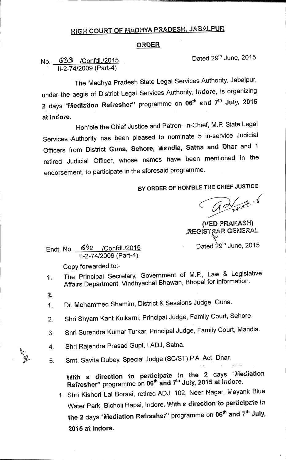## **HIGH COURT OF MADHYA PRADESH, JABALPUR**

## **ORDER**

**No. 635 /Confdl./2015 Dated 29th June, 2015 11-2-74/2009 (Part-4)** 

**The Madhya Pradesh State Legal Services Authority, Jabalpur, under the aegis of District Legal Services Authority, Indore, is organizing**  2 days "Mediation Refresher" programme on 06<sup>th</sup> and 7<sup>th</sup> July, 2015 **at Indore.** 

**Hon'ble the Chief Justice and Patron- in-Chief, M.P. State Legal Services .Authority has been pleased to nominate 5 in-service Judicial Officers from District Guna, Sehore, Mandla, Satna and Dhar and 1 retired Judicial Officer, whose names have been mentioned in the endorsement, to participate in the aforesaid programme.** 

**BY ORDER OF HON'BLE THE CHIEF JUSTICE** 

Barre. 16

**(VED PRAKASH) ,REGISTRAR GENERAL** 

**Endt. No.** 640 / Confdl./2015 **Dated 29<sup>th</sup> June, 2015 11-2-74/2009 (Part-4)** 

**Copy forwarded to:-** 

- **1. The Principal Secretary, Government of M.P., Law & Legislative Affairs Department, Vindhyachal Bhawan, Bhopal for information.**
- **2.**
- **1. Dr. Mohammed Shamim, District & Sessions Judge, Guna.**
- **2. Shri Shyam Kant Kulkarni, Principal Judge, Family Court, Sehore.**
- **3. Shri Surendra Kumar Turkar, Principal Judge, Family Court, Mandla.**
- **4. Shri Rajendra Prasad Gupt, 1ADJ, Satna.**

**5. Smt. Savita Dubey, Special Judge (SC/ST) P.A. Act, Dhar.** 

**With a direction to participate in the 2 days "Mediation** Refresher" programme on 06<sup>th</sup> and 7<sup>th</sup> July, 2015 at Indore.

**1. Shri Kishori Lal Borasi, retired ADJ, 102, Neer Nagar, Mayank Blue Water Park, Bicholi Hapsi, Indore. With a direction to participate in**  the 2 days "Mediation Refresher" programme on 06<sup>th</sup> and 7<sup>th</sup> July, **2015 at Indore.**